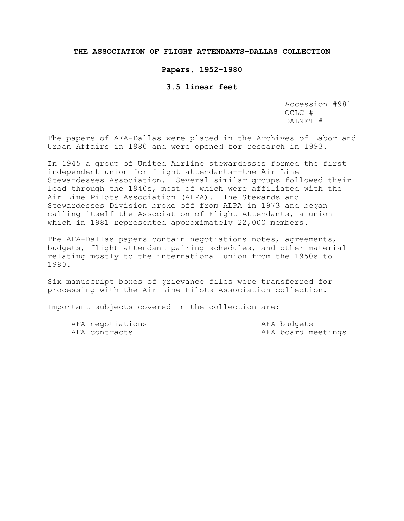## **THE ASSOCIATION OF FLIGHT ATTENDANTS-DALLAS COLLECTION**

#### **Papers, 1952-1980**

## **3.5 linear feet**

Accession #981 OCLC # DALNET #

The papers of AFA-Dallas were placed in the Archives of Labor and Urban Affairs in 1980 and were opened for research in 1993.

In 1945 a group of United Airline stewardesses formed the first independent union for flight attendants--the Air Line Stewardesses Association. Several similar groups followed their lead through the 1940s, most of which were affiliated with the Air Line Pilots Association (ALPA). The Stewards and Stewardesses Division broke off from ALPA in 1973 and began calling itself the Association of Flight Attendants, a union which in 1981 represented approximately 22,000 members.

The AFA-Dallas papers contain negotiations notes, agreements, budgets, flight attendant pairing schedules, and other material relating mostly to the international union from the 1950s to 1980.

Six manuscript boxes of grievance files were transferred for processing with the Air Line Pilots Association collection.

Important subjects covered in the collection are:

| AFA negotiations | AFA budgets |                    |
|------------------|-------------|--------------------|
| AFA contracts    |             | AFA board meetings |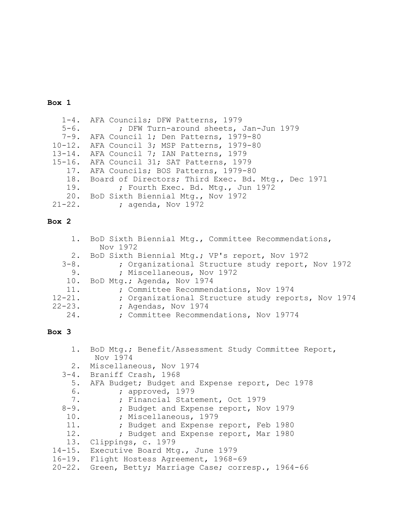#### **Box 1**

 1-4. AFA Councils; DFW Patterns, 1979 5-6. ; DFW Turn-around sheets, Jan-Jun 1979 7-9. AFA Council 1; Den Patterns, 1979-80<br>10-12. AFA Council 3; MSP Patterns, 1979-80 10-12. AFA Council 3; MSP Patterns, 1979-80<br>13-14. AFA Council 7; IAN Patterns, 1979 AFA Council 7; IAN Patterns, 1979 15-16. AFA Council 31; SAT Patterns, 1979<br>17. AFA Councils; BOS Patterns, 1979-8 AFA Councils; BOS Patterns, 1979-80 18. Board of Directors; Third Exec. Bd. Mtg., Dec 1971<br>19. ; Fourth Exec. Bd. Mtg., Jun 1972 ; Fourth Exec. Bd. Mtg., Jun 1972 20. BoD Sixth Biennial Mtg., Nov 1972<br>21-22. ; agenda, Nov 1972 ; agenda, Nov 1972

## **Box 2**

|             | 1. BoD Sixth Biennial Mtg., Committee Recommendations, |
|-------------|--------------------------------------------------------|
|             | Nov 1972                                               |
|             | 2. BoD Sixth Biennial Mtg.; VP's report, Nov 1972      |
| $3 - 8$ .   | ; Organizational Structure study report, Nov 1972      |
| 9.          | ; Miscellaneous, Nov 1972                              |
| 10.         | BoD Mtg.; Agenda, Nov 1974                             |
| 11.         | ; Committee Recommendations, Nov 1974                  |
| $12 - 21$ . | ; Organizational Structure study reports, Nov 1974     |
| $22 - 23$ . | ; Agendas, Nov 1974                                    |
| 24.         | ; Committee Recommendations, Nov 19774                 |
|             |                                                        |

## **Box 3**

|           | 1. BoD Mtg.; Benefit/Assessment Study Committee Report,<br>Nov 1974 |
|-----------|---------------------------------------------------------------------|
|           | 2. Miscellaneous, Nov 1974                                          |
|           | 3-4. Braniff Crash, 1968                                            |
| 5.        | AFA Budget; Budget and Expense report, Dec 1978                     |
| 6.        | ; approved, 1979                                                    |
| 7.        | ; Financial Statement, Oct 1979                                     |
| $8 - 9$ . | ; Budget and Expense report, Nov 1979                               |
|           | 10. : Miscellaneous, 1979                                           |
|           | 11. : Budget and Expense report, Feb 1980                           |
| 12.       | ; Budget and Expense report, Mar 1980                               |
|           | 13. Clippings, c. 1979                                              |
|           | 14-15. Executive Board Mtg., June 1979                              |
|           | 16-19. Flight Hostess Agreement, 1968-69                            |
|           | 20-22. Green, Betty; Marriage Case; corresp., 1964-66               |
|           |                                                                     |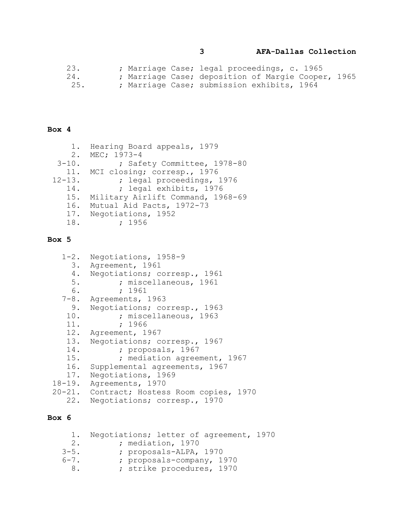**3 AFA-Dallas Collection**

 23. ; Marriage Case; legal proceedings, c. 1965 24. ; Marriage Case; deposition of Margie Cooper, 1965 25. **; Marriage Case; submission exhibits, 1964** 

## **Box 4**

|             | 1. Hearing Board appeals, 1979    |
|-------------|-----------------------------------|
| 2.          | MEC; 1973-4                       |
| $3 - 10$ .  | ; Safety Committee, 1978-80       |
|             | 11. MCI closing; corresp., 1976   |
| $12 - 13$ . | ; legal proceedings, 1976         |
| 14.         | ; legal exhibits, 1976            |
| 15.         | Military Airlift Command, 1968-69 |
| 16.         | Mutual Aid Pacts, 1972-73         |
|             | 17. Negotiations, 1952            |
| 18.         | ; 1956                            |

## **Box 5**

|       | 1-2. Negotiations, 1958-9                  |
|-------|--------------------------------------------|
|       | 3. Agreement, 1961                         |
| 4.    | Negotiations; corresp., 1961               |
| $5$ . | ; miscellaneous, 1961                      |
| 6.    | : 1961                                     |
|       | 7-8. Agreements, 1963                      |
| 9.    | Negotiations; corresp., 1963               |
| 10.   | ; miscellaneous, 1963                      |
| 11.   | ; 1966                                     |
|       | 12. Agreement, 1967                        |
| 13.   | Negotiations; corresp., 1967               |
| 14.   | ; proposals, 1967                          |
| 15.   | ; mediation agreement, 1967                |
|       | 16. Supplemental agreements, 1967          |
| 17.   | Negotiations, 1969                         |
|       | 18-19. Agreements, 1970                    |
|       | 20-21. Contract; Hostess Room copies, 1970 |
| 22.   | Negotiations; corresp., 1970               |

# **Box 6**

|           | 1. Negotiations; letter of agreement, 1970 |  |
|-----------|--------------------------------------------|--|
| 2.1       | ; mediation, 1970                          |  |
| $3 - 5$ . | ; proposals-ALPA, 1970                     |  |
| $6 - 7$ . | ; proposals-company, 1970                  |  |
| 8.        | ; strike procedures, 1970                  |  |